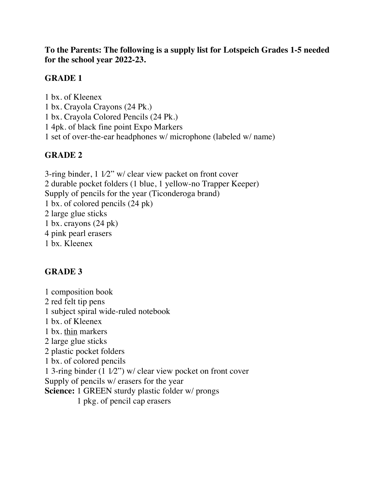**To the Parents: The following is a supply list for Lotspeich Grades 1-5 needed for the school year 2022-23.** 

### **GRADE 1**

1 bx. of Kleenex 1 bx. Crayola Crayons (24 Pk.) 1 bx. Crayola Colored Pencils (24 Pk.) 1 4pk. of black fine point Expo Markers 1 set of over-the-ear headphones w/ microphone (labeled w/ name)

## **GRADE 2**

3-ring binder, 1 1⁄2" w/ clear view packet on front cover 2 durable pocket folders (1 blue, 1 yellow-no Trapper Keeper) Supply of pencils for the year (Ticonderoga brand) 1 bx. of colored pencils (24 pk) 2 large glue sticks 1 bx. crayons (24 pk) 4 pink pearl erasers 1 bx. Kleenex

# **GRADE 3**

1 composition book 2 red felt tip pens 1 subject spiral wide-ruled notebook 1 bx. of Kleenex 1 bx. thin markers 2 large glue sticks 2 plastic pocket folders 1 bx. of colored pencils 1 3-ring binder (1 1⁄2") w/ clear view pocket on front cover Supply of pencils w/ erasers for the year **Science:** 1 GREEN sturdy plastic folder w/ prongs 1 pkg. of pencil cap erasers